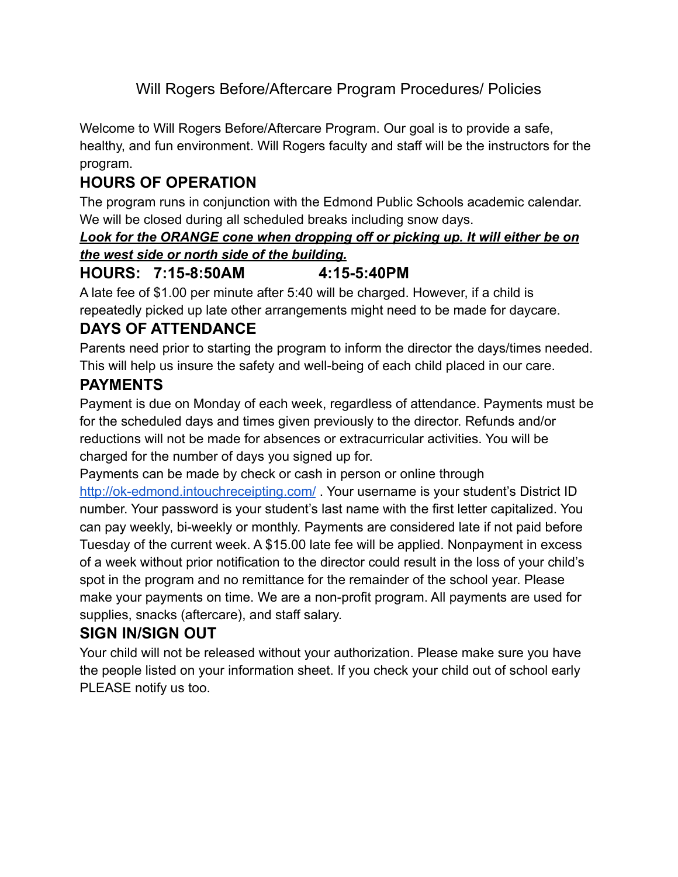# Will Rogers Before/Aftercare Program Procedures/ Policies

Welcome to Will Rogers Before/Aftercare Program. Our goal is to provide a safe, healthy, and fun environment. Will Rogers faculty and staff will be the instructors for the program.

# **HOURS OF OPERATION**

The program runs in conjunction with the Edmond Public Schools academic calendar. We will be closed during all scheduled breaks including snow days.

#### *Look for the ORANGE cone when dropping off or picking up. It will either be on the west side or north side of the building.*

### **HOURS: 7:15-8:50AM 4:15-5:40PM**

A late fee of \$1.00 per minute after 5:40 will be charged. However, if a child is repeatedly picked up late other arrangements might need to be made for daycare.

# **DAYS OF ATTENDANCE**

Parents need prior to starting the program to inform the director the days/times needed. This will help us insure the safety and well-being of each child placed in our care.

### **PAYMENTS**

Payment is due on Monday of each week, regardless of attendance. Payments must be for the scheduled days and times given previously to the director. Refunds and/or reductions will not be made for absences or extracurricular activities. You will be charged for the number of days you signed up for.

Payments can be made by check or cash in person or online through

<http://ok-edmond.intouchreceipting.com/>. Your username is your student's District ID number. Your password is your student's last name with the first letter capitalized. You can pay weekly, bi-weekly or monthly. Payments are considered late if not paid before Tuesday of the current week. A \$15.00 late fee will be applied. Nonpayment in excess of a week without prior notification to the director could result in the loss of your child's spot in the program and no remittance for the remainder of the school year. Please make your payments on time. We are a non-profit program. All payments are used for supplies, snacks (aftercare), and staff salary.

#### **SIGN IN/SIGN OUT**

Your child will not be released without your authorization. Please make sure you have the people listed on your information sheet. If you check your child out of school early PLEASE notify us too.